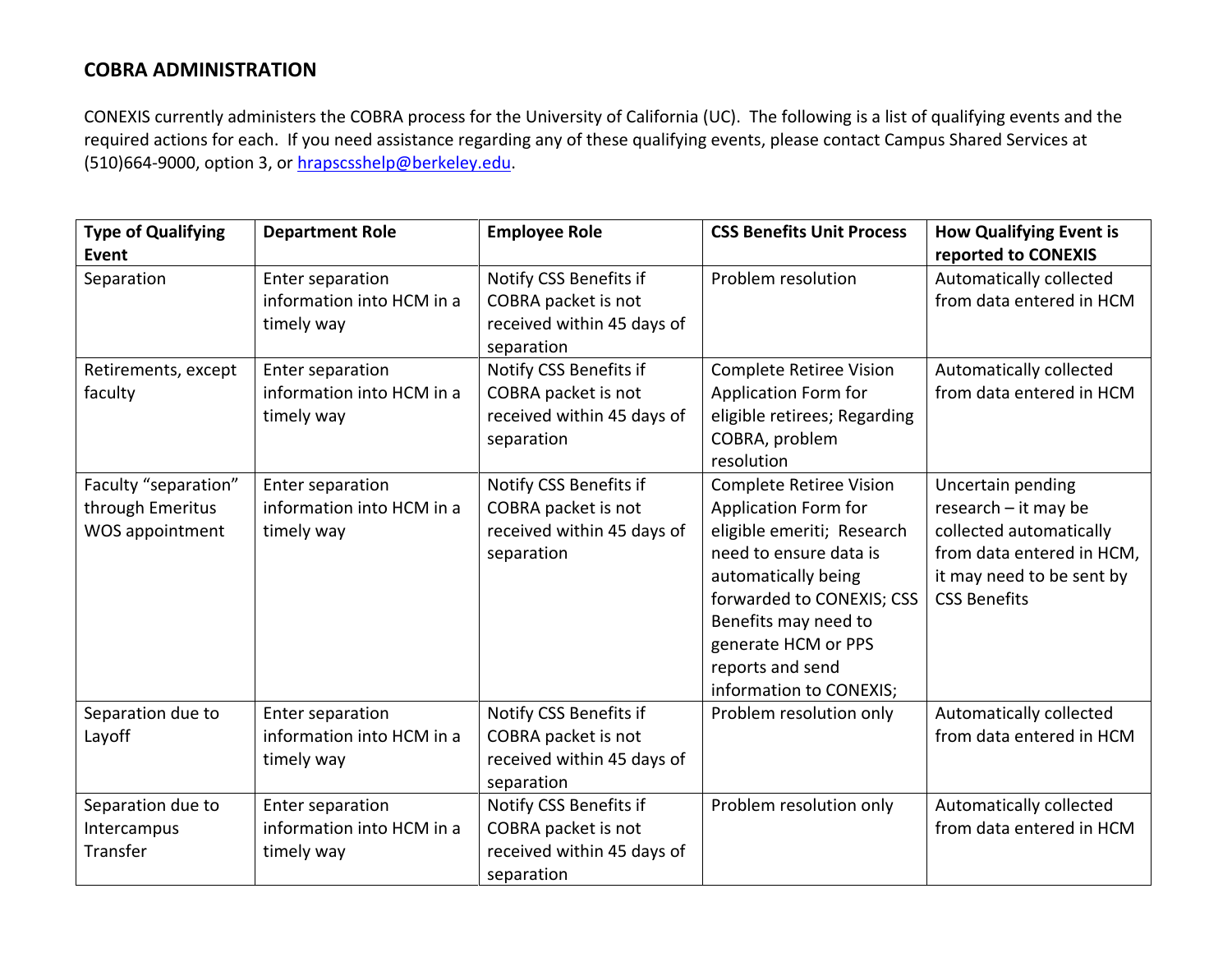## **COBRA ADMINISTRATION**

CONEXIS currently administers the COBRA process for the University of California (UC). The following is a list of qualifying events and the required actions for each. If you need assistance regarding any of these qualifying events, please contact Campus Shared Services at (510)664-9000, option 3, or [hrapscsshelp@berkeley.edu.](mailto:hrapscsshelp@berkeley.edu)

| <b>Type of Qualifying</b>                                   | <b>Department Role</b>                                      | <b>Employee Role</b>                                                                      | <b>CSS Benefits Unit Process</b>                                                                                                                                                                                                                                 | <b>How Qualifying Event is</b>                                                                                                                        |
|-------------------------------------------------------------|-------------------------------------------------------------|-------------------------------------------------------------------------------------------|------------------------------------------------------------------------------------------------------------------------------------------------------------------------------------------------------------------------------------------------------------------|-------------------------------------------------------------------------------------------------------------------------------------------------------|
| Event                                                       |                                                             |                                                                                           |                                                                                                                                                                                                                                                                  | reported to CONEXIS                                                                                                                                   |
| Separation                                                  | Enter separation<br>information into HCM in a<br>timely way | Notify CSS Benefits if<br>COBRA packet is not<br>received within 45 days of<br>separation | Problem resolution                                                                                                                                                                                                                                               | Automatically collected<br>from data entered in HCM                                                                                                   |
| Retirements, except<br>faculty                              | Enter separation<br>information into HCM in a<br>timely way | Notify CSS Benefits if<br>COBRA packet is not<br>received within 45 days of<br>separation | <b>Complete Retiree Vision</b><br>Application Form for<br>eligible retirees; Regarding<br>COBRA, problem<br>resolution                                                                                                                                           | Automatically collected<br>from data entered in HCM                                                                                                   |
| Faculty "separation"<br>through Emeritus<br>WOS appointment | Enter separation<br>information into HCM in a<br>timely way | Notify CSS Benefits if<br>COBRA packet is not<br>received within 45 days of<br>separation | <b>Complete Retiree Vision</b><br>Application Form for<br>eligible emeriti; Research<br>need to ensure data is<br>automatically being<br>forwarded to CONEXIS; CSS<br>Benefits may need to<br>generate HCM or PPS<br>reports and send<br>information to CONEXIS; | Uncertain pending<br>research - it may be<br>collected automatically<br>from data entered in HCM,<br>it may need to be sent by<br><b>CSS Benefits</b> |
| Separation due to<br>Layoff                                 | Enter separation<br>information into HCM in a<br>timely way | Notify CSS Benefits if<br>COBRA packet is not<br>received within 45 days of<br>separation | Problem resolution only                                                                                                                                                                                                                                          | Automatically collected<br>from data entered in HCM                                                                                                   |
| Separation due to<br>Intercampus<br>Transfer                | Enter separation<br>information into HCM in a<br>timely way | Notify CSS Benefits if<br>COBRA packet is not<br>received within 45 days of<br>separation | Problem resolution only                                                                                                                                                                                                                                          | Automatically collected<br>from data entered in HCM                                                                                                   |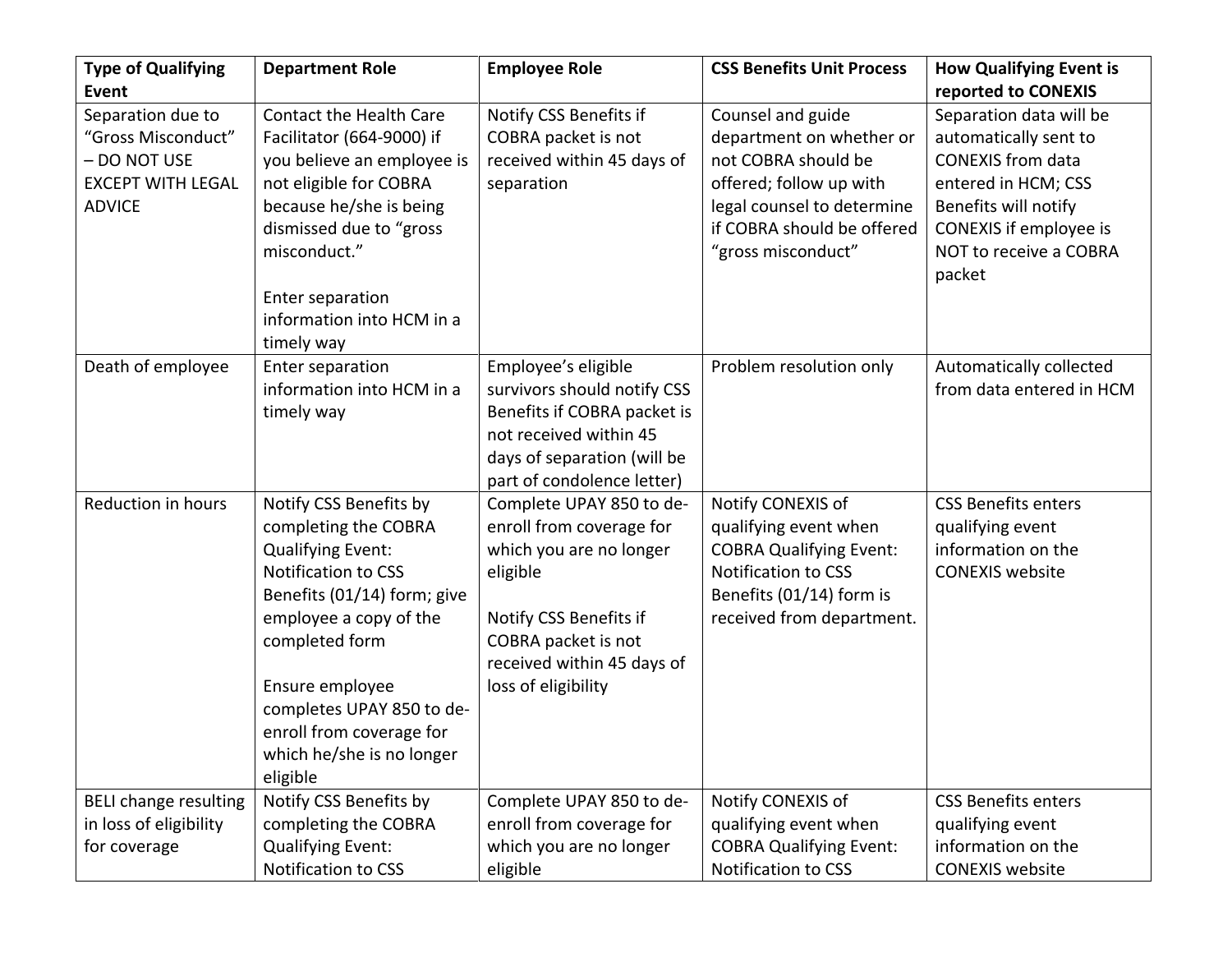| <b>Type of Qualifying</b>    | <b>Department Role</b>         | <b>Employee Role</b>        | <b>CSS Benefits Unit Process</b> | <b>How Qualifying Event is</b> |
|------------------------------|--------------------------------|-----------------------------|----------------------------------|--------------------------------|
| <b>Event</b>                 |                                |                             |                                  | reported to CONEXIS            |
| Separation due to            | <b>Contact the Health Care</b> | Notify CSS Benefits if      | Counsel and guide                | Separation data will be        |
| "Gross Misconduct"           | Facilitator (664-9000) if      | COBRA packet is not         | department on whether or         | automatically sent to          |
| - DO NOT USE                 | you believe an employee is     | received within 45 days of  | not COBRA should be              | <b>CONEXIS</b> from data       |
| <b>EXCEPT WITH LEGAL</b>     | not eligible for COBRA         | separation                  | offered; follow up with          | entered in HCM; CSS            |
| <b>ADVICE</b>                | because he/she is being        |                             | legal counsel to determine       | Benefits will notify           |
|                              | dismissed due to "gross        |                             | if COBRA should be offered       | CONEXIS if employee is         |
|                              | misconduct."                   |                             | "gross misconduct"               | NOT to receive a COBRA         |
|                              |                                |                             |                                  | packet                         |
|                              | Enter separation               |                             |                                  |                                |
|                              | information into HCM in a      |                             |                                  |                                |
|                              | timely way                     |                             |                                  |                                |
| Death of employee            | Enter separation               | Employee's eligible         | Problem resolution only          | Automatically collected        |
|                              | information into HCM in a      | survivors should notify CSS |                                  | from data entered in HCM       |
|                              | timely way                     | Benefits if COBRA packet is |                                  |                                |
|                              |                                | not received within 45      |                                  |                                |
|                              |                                | days of separation (will be |                                  |                                |
|                              |                                | part of condolence letter)  |                                  |                                |
| Reduction in hours           | Notify CSS Benefits by         | Complete UPAY 850 to de-    | Notify CONEXIS of                | <b>CSS Benefits enters</b>     |
|                              | completing the COBRA           | enroll from coverage for    | qualifying event when            | qualifying event               |
|                              | <b>Qualifying Event:</b>       | which you are no longer     | <b>COBRA Qualifying Event:</b>   | information on the             |
|                              | Notification to CSS            | eligible                    | Notification to CSS              | <b>CONEXIS website</b>         |
|                              | Benefits (01/14) form; give    |                             | Benefits (01/14) form is         |                                |
|                              | employee a copy of the         | Notify CSS Benefits if      | received from department.        |                                |
|                              | completed form                 | COBRA packet is not         |                                  |                                |
|                              |                                | received within 45 days of  |                                  |                                |
|                              | Ensure employee                | loss of eligibility         |                                  |                                |
|                              | completes UPAY 850 to de-      |                             |                                  |                                |
|                              | enroll from coverage for       |                             |                                  |                                |
|                              | which he/she is no longer      |                             |                                  |                                |
|                              | eligible                       |                             |                                  |                                |
| <b>BELI change resulting</b> | Notify CSS Benefits by         | Complete UPAY 850 to de-    | Notify CONEXIS of                | <b>CSS Benefits enters</b>     |
| in loss of eligibility       | completing the COBRA           | enroll from coverage for    | qualifying event when            | qualifying event               |
| for coverage                 | <b>Qualifying Event:</b>       | which you are no longer     | <b>COBRA Qualifying Event:</b>   | information on the             |
|                              | Notification to CSS            | eligible                    | Notification to CSS              | <b>CONEXIS</b> website         |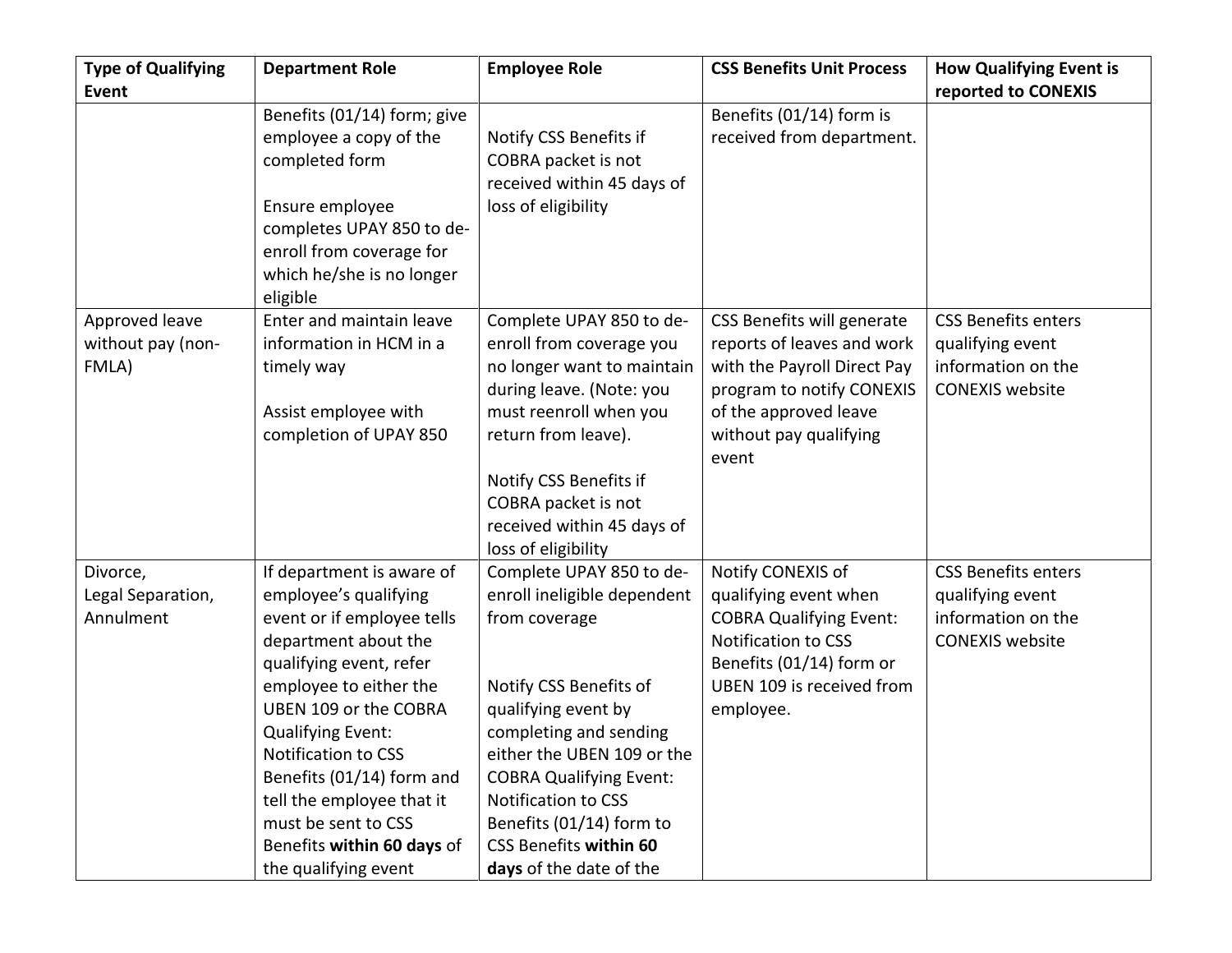| <b>Type of Qualifying</b>           | <b>Department Role</b>                          | <b>Employee Role</b>                                 | <b>CSS Benefits Unit Process</b>                         | <b>How Qualifying Event is</b> |
|-------------------------------------|-------------------------------------------------|------------------------------------------------------|----------------------------------------------------------|--------------------------------|
| <b>Event</b>                        |                                                 |                                                      |                                                          | reported to CONEXIS            |
|                                     | Benefits (01/14) form; give                     |                                                      | Benefits (01/14) form is                                 |                                |
|                                     | employee a copy of the                          | Notify CSS Benefits if                               | received from department.                                |                                |
|                                     | completed form                                  | COBRA packet is not                                  |                                                          |                                |
|                                     |                                                 | received within 45 days of                           |                                                          |                                |
|                                     | Ensure employee                                 | loss of eligibility                                  |                                                          |                                |
|                                     | completes UPAY 850 to de-                       |                                                      |                                                          |                                |
|                                     | enroll from coverage for                        |                                                      |                                                          |                                |
|                                     | which he/she is no longer                       |                                                      |                                                          |                                |
|                                     | eligible<br>Enter and maintain leave            |                                                      |                                                          | <b>CSS Benefits enters</b>     |
| Approved leave<br>without pay (non- | information in HCM in a                         | Complete UPAY 850 to de-<br>enroll from coverage you | CSS Benefits will generate<br>reports of leaves and work | qualifying event               |
| FMLA)                               | timely way                                      | no longer want to maintain                           | with the Payroll Direct Pay                              | information on the             |
|                                     |                                                 | during leave. (Note: you                             | program to notify CONEXIS                                | <b>CONEXIS website</b>         |
|                                     | Assist employee with                            | must reenroll when you                               | of the approved leave                                    |                                |
|                                     | completion of UPAY 850                          | return from leave).                                  | without pay qualifying                                   |                                |
|                                     |                                                 |                                                      | event                                                    |                                |
|                                     |                                                 | Notify CSS Benefits if                               |                                                          |                                |
|                                     |                                                 | COBRA packet is not                                  |                                                          |                                |
|                                     |                                                 | received within 45 days of                           |                                                          |                                |
|                                     |                                                 | loss of eligibility                                  |                                                          |                                |
| Divorce,                            | If department is aware of                       | Complete UPAY 850 to de-                             | Notify CONEXIS of                                        | <b>CSS Benefits enters</b>     |
| Legal Separation,                   | employee's qualifying                           | enroll ineligible dependent                          | qualifying event when                                    | qualifying event               |
| Annulment                           | event or if employee tells                      | from coverage                                        | <b>COBRA Qualifying Event:</b>                           | information on the             |
|                                     | department about the                            |                                                      | Notification to CSS                                      | <b>CONEXIS website</b>         |
|                                     | qualifying event, refer                         |                                                      | Benefits (01/14) form or                                 |                                |
|                                     | employee to either the<br>UBEN 109 or the COBRA | Notify CSS Benefits of                               | UBEN 109 is received from                                |                                |
|                                     | <b>Qualifying Event:</b>                        | qualifying event by<br>completing and sending        | employee.                                                |                                |
|                                     | Notification to CSS                             | either the UBEN 109 or the                           |                                                          |                                |
|                                     | Benefits (01/14) form and                       | <b>COBRA Qualifying Event:</b>                       |                                                          |                                |
|                                     | tell the employee that it                       | Notification to CSS                                  |                                                          |                                |
|                                     | must be sent to CSS                             | Benefits (01/14) form to                             |                                                          |                                |
|                                     | Benefits within 60 days of                      | <b>CSS Benefits within 60</b>                        |                                                          |                                |
|                                     | the qualifying event                            | days of the date of the                              |                                                          |                                |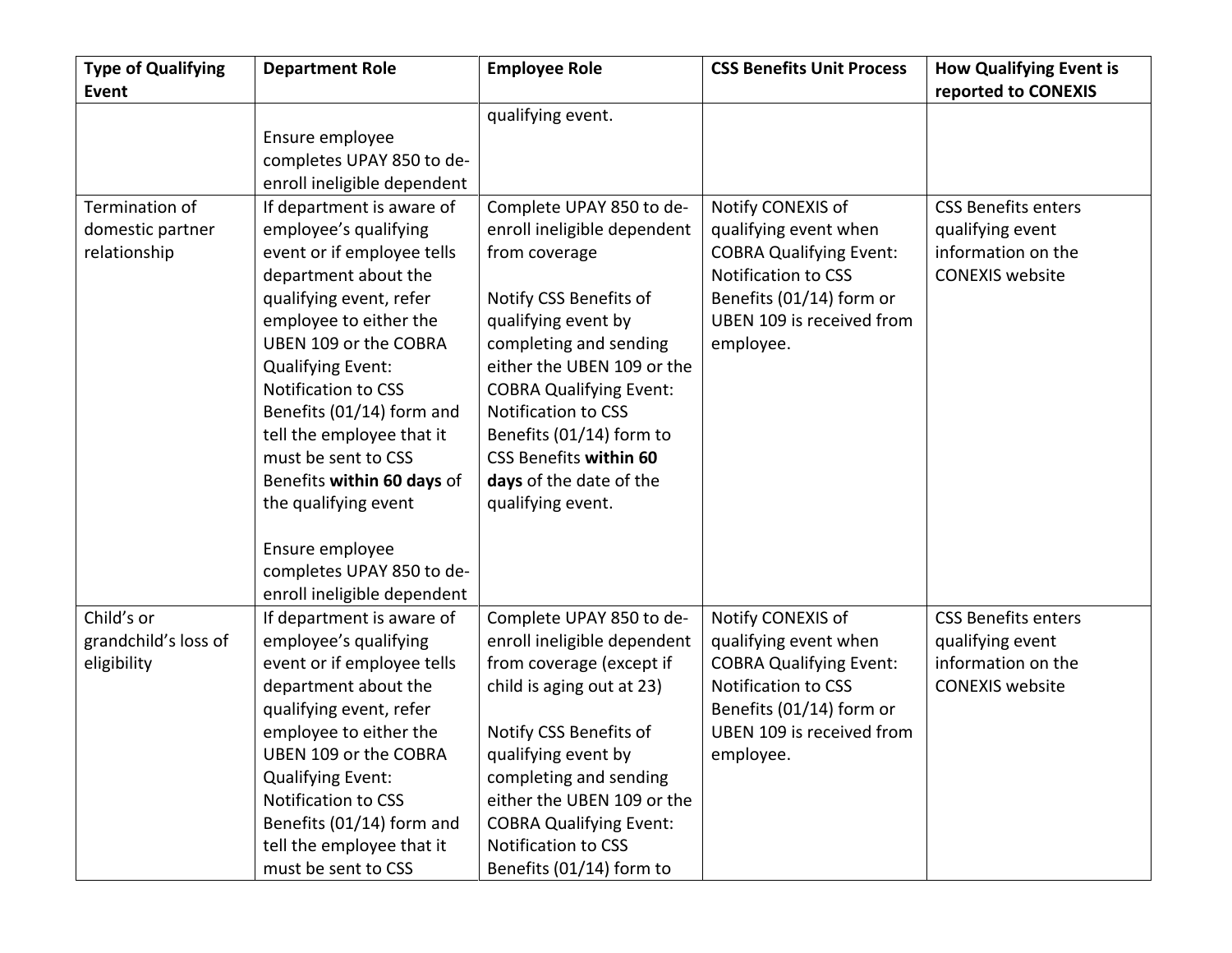| <b>Type of Qualifying</b> | <b>Department Role</b>      | <b>Employee Role</b>           | <b>CSS Benefits Unit Process</b> | <b>How Qualifying Event is</b> |
|---------------------------|-----------------------------|--------------------------------|----------------------------------|--------------------------------|
| Event                     |                             |                                |                                  | reported to CONEXIS            |
|                           |                             | qualifying event.              |                                  |                                |
|                           | Ensure employee             |                                |                                  |                                |
|                           | completes UPAY 850 to de-   |                                |                                  |                                |
|                           | enroll ineligible dependent |                                |                                  |                                |
| Termination of            | If department is aware of   | Complete UPAY 850 to de-       | Notify CONEXIS of                | <b>CSS Benefits enters</b>     |
| domestic partner          | employee's qualifying       | enroll ineligible dependent    | qualifying event when            | qualifying event               |
| relationship              | event or if employee tells  | from coverage                  | <b>COBRA Qualifying Event:</b>   | information on the             |
|                           | department about the        |                                | Notification to CSS              | <b>CONEXIS website</b>         |
|                           | qualifying event, refer     | Notify CSS Benefits of         | Benefits (01/14) form or         |                                |
|                           | employee to either the      | qualifying event by            | UBEN 109 is received from        |                                |
|                           | UBEN 109 or the COBRA       | completing and sending         | employee.                        |                                |
|                           | Qualifying Event:           | either the UBEN 109 or the     |                                  |                                |
|                           | <b>Notification to CSS</b>  | <b>COBRA Qualifying Event:</b> |                                  |                                |
|                           | Benefits (01/14) form and   | <b>Notification to CSS</b>     |                                  |                                |
|                           | tell the employee that it   | Benefits (01/14) form to       |                                  |                                |
|                           | must be sent to CSS         | <b>CSS Benefits within 60</b>  |                                  |                                |
|                           | Benefits within 60 days of  | days of the date of the        |                                  |                                |
|                           | the qualifying event        | qualifying event.              |                                  |                                |
|                           |                             |                                |                                  |                                |
|                           | Ensure employee             |                                |                                  |                                |
|                           | completes UPAY 850 to de-   |                                |                                  |                                |
|                           | enroll ineligible dependent |                                |                                  |                                |
| Child's or                | If department is aware of   | Complete UPAY 850 to de-       | Notify CONEXIS of                | <b>CSS Benefits enters</b>     |
| grandchild's loss of      | employee's qualifying       | enroll ineligible dependent    | qualifying event when            | qualifying event               |
| eligibility               | event or if employee tells  | from coverage (except if       | <b>COBRA Qualifying Event:</b>   | information on the             |
|                           | department about the        | child is aging out at 23)      | Notification to CSS              | <b>CONEXIS</b> website         |
|                           | qualifying event, refer     |                                | Benefits (01/14) form or         |                                |
|                           | employee to either the      | Notify CSS Benefits of         | UBEN 109 is received from        |                                |
|                           | UBEN 109 or the COBRA       | qualifying event by            | employee.                        |                                |
|                           | <b>Qualifying Event:</b>    | completing and sending         |                                  |                                |
|                           | Notification to CSS         | either the UBEN 109 or the     |                                  |                                |
|                           | Benefits (01/14) form and   | <b>COBRA Qualifying Event:</b> |                                  |                                |
|                           | tell the employee that it   | Notification to CSS            |                                  |                                |
|                           | must be sent to CSS         | Benefits (01/14) form to       |                                  |                                |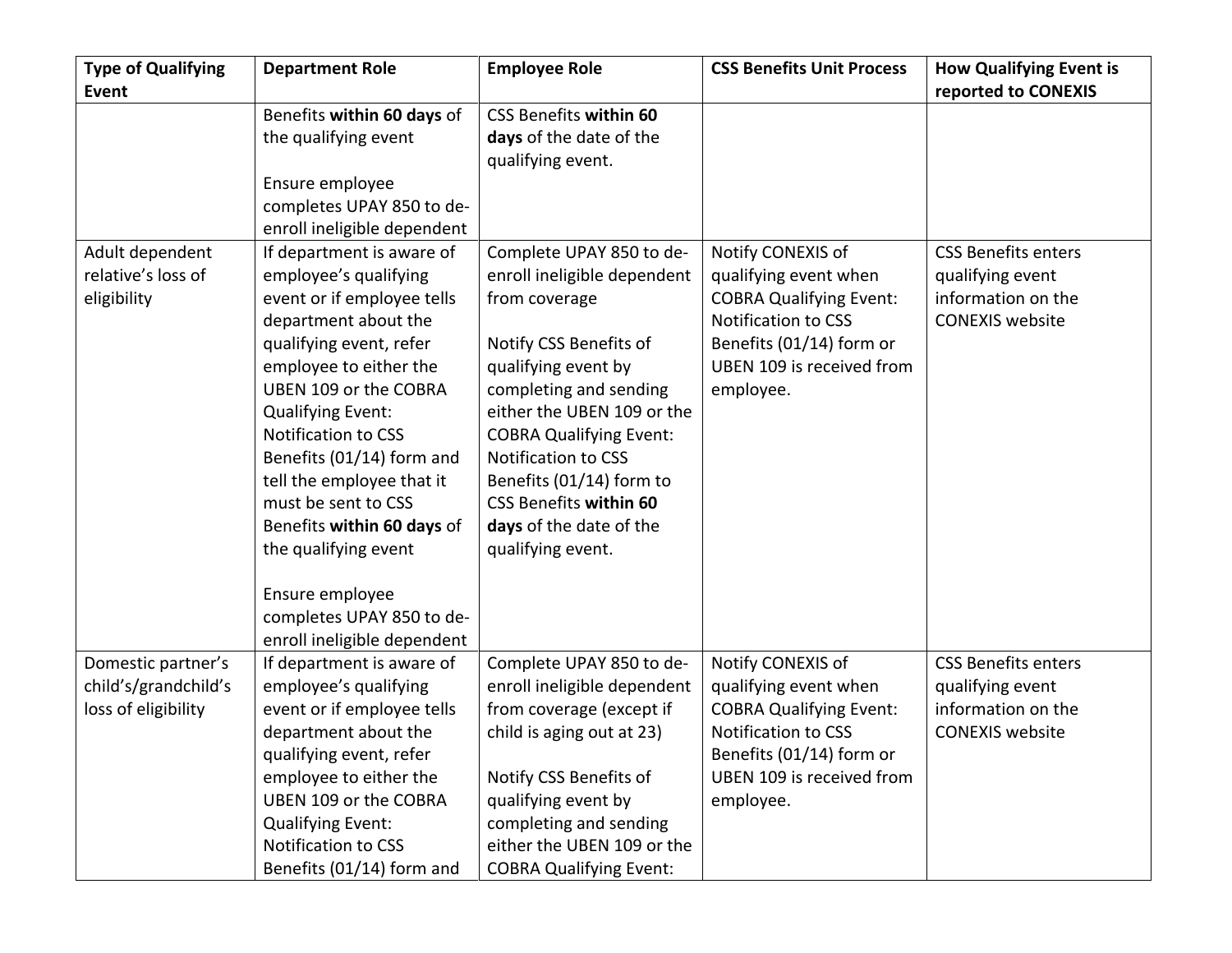| <b>Type of Qualifying</b> | <b>Department Role</b>      | <b>Employee Role</b>           | <b>CSS Benefits Unit Process</b> | <b>How Qualifying Event is</b> |
|---------------------------|-----------------------------|--------------------------------|----------------------------------|--------------------------------|
| <b>Event</b>              |                             |                                |                                  | reported to CONEXIS            |
|                           | Benefits within 60 days of  | <b>CSS Benefits within 60</b>  |                                  |                                |
|                           | the qualifying event        | days of the date of the        |                                  |                                |
|                           |                             | qualifying event.              |                                  |                                |
|                           | Ensure employee             |                                |                                  |                                |
|                           | completes UPAY 850 to de-   |                                |                                  |                                |
|                           | enroll ineligible dependent |                                |                                  |                                |
| Adult dependent           | If department is aware of   | Complete UPAY 850 to de-       | Notify CONEXIS of                | <b>CSS Benefits enters</b>     |
| relative's loss of        | employee's qualifying       | enroll ineligible dependent    | qualifying event when            | qualifying event               |
| eligibility               | event or if employee tells  | from coverage                  | <b>COBRA Qualifying Event:</b>   | information on the             |
|                           | department about the        |                                | Notification to CSS              | <b>CONEXIS website</b>         |
|                           | qualifying event, refer     | Notify CSS Benefits of         | Benefits (01/14) form or         |                                |
|                           | employee to either the      | qualifying event by            | UBEN 109 is received from        |                                |
|                           | UBEN 109 or the COBRA       | completing and sending         | employee.                        |                                |
|                           | <b>Qualifying Event:</b>    | either the UBEN 109 or the     |                                  |                                |
|                           | Notification to CSS         | <b>COBRA Qualifying Event:</b> |                                  |                                |
|                           | Benefits (01/14) form and   | Notification to CSS            |                                  |                                |
|                           | tell the employee that it   | Benefits (01/14) form to       |                                  |                                |
|                           | must be sent to CSS         | <b>CSS Benefits within 60</b>  |                                  |                                |
|                           | Benefits within 60 days of  | days of the date of the        |                                  |                                |
|                           | the qualifying event        | qualifying event.              |                                  |                                |
|                           | Ensure employee             |                                |                                  |                                |
|                           | completes UPAY 850 to de-   |                                |                                  |                                |
|                           | enroll ineligible dependent |                                |                                  |                                |
| Domestic partner's        | If department is aware of   | Complete UPAY 850 to de-       | Notify CONEXIS of                | <b>CSS Benefits enters</b>     |
| child's/grandchild's      | employee's qualifying       | enroll ineligible dependent    | qualifying event when            | qualifying event               |
| loss of eligibility       | event or if employee tells  | from coverage (except if       | <b>COBRA Qualifying Event:</b>   | information on the             |
|                           | department about the        | child is aging out at 23)      | Notification to CSS              | <b>CONEXIS website</b>         |
|                           | qualifying event, refer     |                                | Benefits (01/14) form or         |                                |
|                           | employee to either the      | Notify CSS Benefits of         | UBEN 109 is received from        |                                |
|                           | UBEN 109 or the COBRA       | qualifying event by            | employee.                        |                                |
|                           | <b>Qualifying Event:</b>    | completing and sending         |                                  |                                |
|                           | Notification to CSS         | either the UBEN 109 or the     |                                  |                                |
|                           | Benefits (01/14) form and   | <b>COBRA Qualifying Event:</b> |                                  |                                |